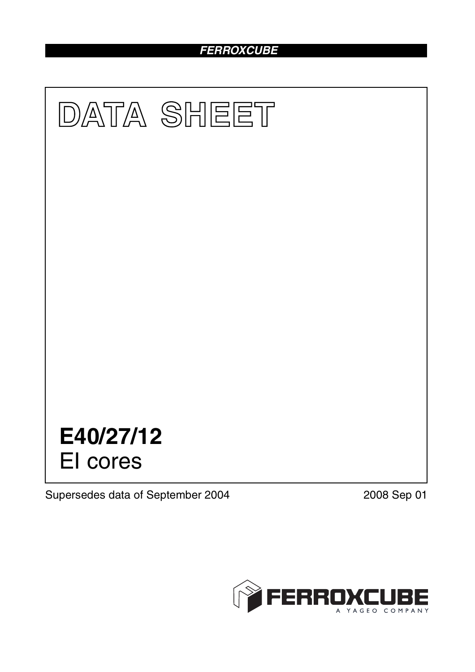# *FERROXCUBE*



Supersedes data of September 2004 2008 Sep 01

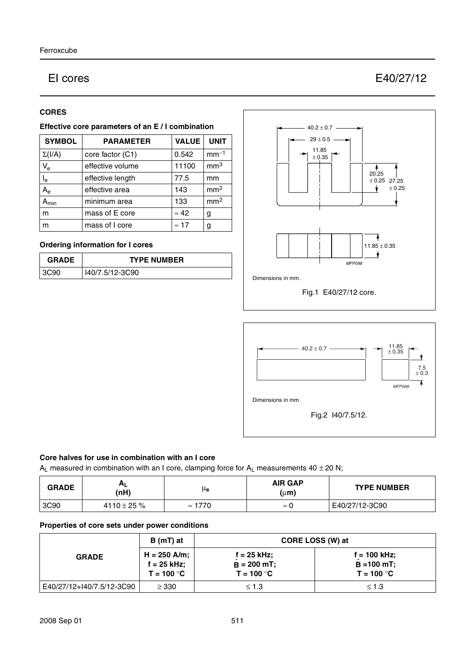# EI cores E40/27/12

# **CORES**

# **Effective core parameters of an E / I combination**

| <b>SYMBOL</b>             | <b>PARAMETER</b> | <b>VALUE</b> | <b>UNIT</b>     |
|---------------------------|------------------|--------------|-----------------|
| $\Sigma(I/A)$             | core factor (C1) | 0.542        | $mm-1$          |
| $V_{e}$                   | effective volume | 11100        | mm <sup>3</sup> |
| $\mathsf{I}_\mathsf{e}$   | effective length | 77.5         | mm              |
| $A_{\rm e}$               | effective area   | 143          | mm <sup>2</sup> |
| $\mathbf{A}_{\text{min}}$ | minimum area     | 133          | mm <sup>2</sup> |
| m                         | mass of E core   | $\approx 42$ | g               |
| m                         | mass of I core   | $\approx$ 17 | g               |

# **Ordering information for I cores**

| <b>GRADE</b> | <b>TYPE NUMBER</b> |  |
|--------------|--------------------|--|
| 3C90         | I40/7.5/12-3C90    |  |





#### **Core halves for use in combination with an I core**

A<sub>L</sub> measured in combination with an I core, clamping force for A<sub>L</sub> measurements  $40 \pm 20$  N;

| <b>GRADE</b> | Αı<br>(nH)    | μe             | <b>AIR GAP</b><br>$(\mu m)$ | <b>TYPE NUMBER</b> |
|--------------|---------------|----------------|-----------------------------|--------------------|
| 3C90         | 4110 ± 25 $%$ | $\approx$ 1770 | $\approx$                   | E40/27/12-3C90     |

# **Properties of core sets under power conditions**

| <b>GRADE</b>              | B (mT) at                                       | CORE LOSS (W) at                                     |                                                       |  |
|---------------------------|-------------------------------------------------|------------------------------------------------------|-------------------------------------------------------|--|
|                           | $H = 250$ A/m;<br>$f = 25$ kHz;<br>$T = 100 °C$ | $f = 25$ kHz;<br>$\hat{B} = 200$ mT;<br>$T = 100 °C$ | $f = 100$ kHz;<br>$\hat{B} = 100$ mT;<br>$T = 100 °C$ |  |
| E40/27/12+I40/7.5/12-3C90 | $\geq$ 330                                      | $\leq 1.3$                                           | $\leq 1.3$                                            |  |